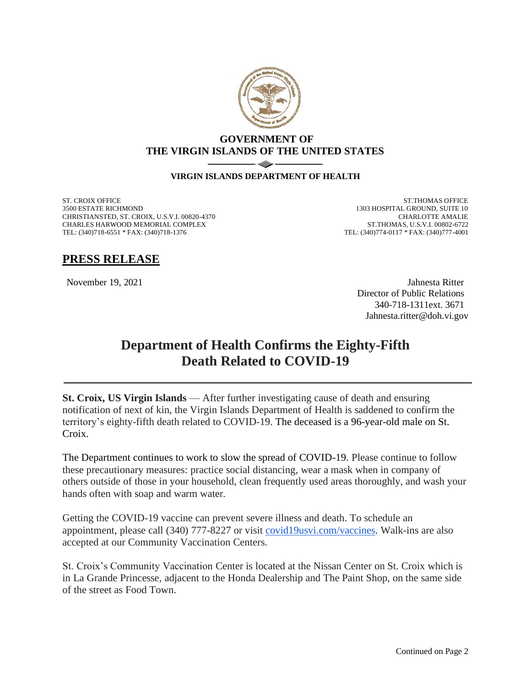

## **GOVERNMENT OF THE VIRGIN ISLANDS OF THE UNITED STATES**

## **VIRGIN ISLANDS DEPARTMENT OF HEALTH**

ST. CROIX OFFICE 3500 ESTATE RICHMOND CHRISTIANSTED, ST. CROIX, U.S.V.I. 00820-4370 CHARLES HARWOOD MEMORIAL COMPLEX TEL: (340)718-6551 \* FAX: (340)718-1376

ST.THOMAS OFFICE 1303 HOSPITAL GROUND, SUITE 10 CHARLOTTE AMALIE ST.THOMAS, U.S.V.I. 00802-6722 TEL: (340)774-0117 \* FAX: (340)777-4001

## **PRESS RELEASE**

November 19, 2021 Jahnesta Ritter Director of Public Relations 340-718-1311ext. 3671 Jahnesta.ritter@doh.vi.gov

## **Department of Health Confirms the Eighty-Fifth Death Related to COVID-19**

**St. Croix, US Virgin Islands** — After further investigating cause of death and ensuring notification of next of kin, the Virgin Islands Department of Health is saddened to confirm the territory's eighty-fifth death related to COVID-19. The deceased is a 96-year-old male on St. Croix.

The Department continues to work to slow the spread of COVID-19. Please continue to follow these precautionary measures: practice social distancing, wear a mask when in company of others outside of those in your household, clean frequently used areas thoroughly, and wash your hands often with soap and warm water.

Getting the COVID-19 vaccine can prevent severe illness and death. To schedule an appointment, please call (340) 777-8227 or visit [covid19usvi.com/vaccines.](http://covid19usvi.com/vaccines) Walk-ins are also accepted at our Community Vaccination Centers.

St. Croix's Community Vaccination Center is located at the Nissan Center on St. Croix which is in La Grande Princesse, adjacent to the Honda Dealership and The Paint Shop, on the same side of the street as Food Town.